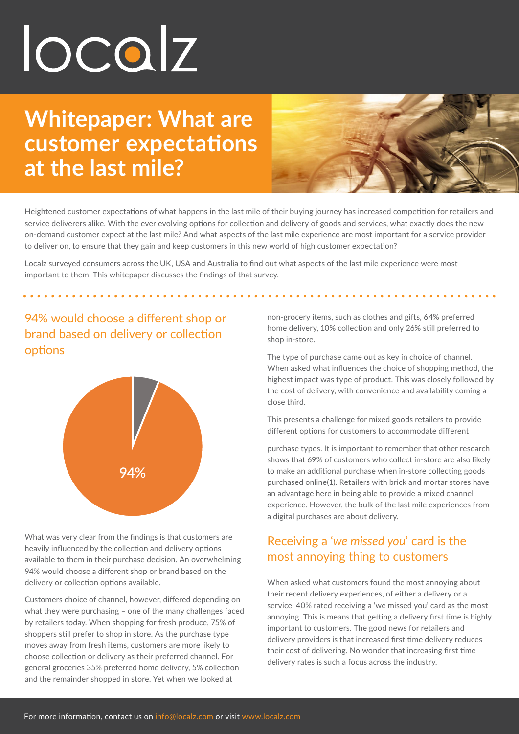# localz

# **Whitepaper: What are customer expectations at the last mile?**



Heightened customer expectations of what happens in the last mile of their buying journey has increased competition for retailers and service deliverers alike. With the ever evolving options for collection and delivery of goods and services, what exactly does the new on-demand customer expect at the last mile? And what aspects of the last mile experience are most important for a service provider to deliver on, to ensure that they gain and keep customers in this new world of high customer expectation?

Localz surveyed consumers across the UK, USA and Australia to find out what aspects of the last mile experience were most important to them. This whitepaper discusses the findings of that survey.

### 94% would choose a different shop or brand based on delivery or collection options



What was very clear from the findings is that customers are heavily influenced by the collection and delivery options available to them in their purchase decision. An overwhelming 94% would choose a different shop or brand based on the delivery or collection options available.

Customers choice of channel, however, differed depending on what they were purchasing – one of the many challenges faced by retailers today. When shopping for fresh produce, 75% of shoppers still prefer to shop in store. As the purchase type moves away from fresh items, customers are more likely to choose collection or delivery as their preferred channel. For general groceries 35% preferred home delivery, 5% collection and the remainder shopped in store. Yet when we looked at

non-grocery items, such as clothes and gifts, 64% preferred home delivery, 10% collection and only 26% still preferred to shop in-store.

The type of purchase came out as key in choice of channel. When asked what influences the choice of shopping method, the highest impact was type of product. This was closely followed by the cost of delivery, with convenience and availability coming a close third.

This presents a challenge for mixed goods retailers to provide different options for customers to accommodate different

purchase types. It is important to remember that other research shows that 69% of customers who collect in-store are also likely to make an additional purchase when in-store collecting goods purchased online(1). Retailers with brick and mortar stores have an advantage here in being able to provide a mixed channel experience. However, the bulk of the last mile experiences from a digital purchases are about delivery.

## Receiving a '*we missed you*' card is the most annoying thing to customers

When asked what customers found the most annoying about their recent delivery experiences, of either a delivery or a service, 40% rated receiving a 'we missed you' card as the most annoying. This is means that getting a delivery first time is highly important to customers. The good news for retailers and delivery providers is that increased first time delivery reduces their cost of delivering. No wonder that increasing first time delivery rates is such a focus across the industry.